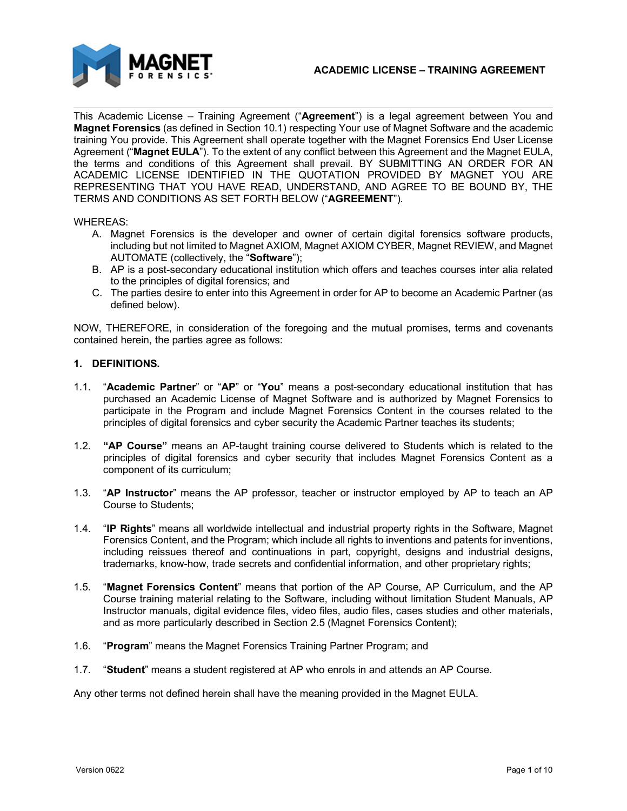

This Academic License – Training Agreement ("**Agreement**") is a legal agreement between You and **Magnet Forensics** (as defined in Section 10.1) respecting Your use of Magnet Software and the academic training You provide. This Agreement shall operate together with the Magnet Forensics End User License Agreement ("**Magnet EULA**"). To the extent of any conflict between this Agreement and the Magnet EULA, the terms and conditions of this Agreement shall prevail. BY SUBMITTING AN ORDER FOR AN ACADEMIC LICENSE IDENTIFIED IN THE QUOTATION PROVIDED BY MAGNET YOU ARE REPRESENTING THAT YOU HAVE READ, UNDERSTAND, AND AGREE TO BE BOUND BY, THE TERMS AND CONDITIONS AS SET FORTH BELOW ("**AGREEMENT**").

#### WHEREAS:

- A. Magnet Forensics is the developer and owner of certain digital forensics software products, including but not limited to Magnet AXIOM, Magnet AXIOM CYBER, Magnet REVIEW, and Magnet AUTOMATE (collectively, the "**Software**");
- B. AP is a post-secondary educational institution which offers and teaches courses inter alia related to the principles of digital forensics; and
- C. The parties desire to enter into this Agreement in order for AP to become an Academic Partner (as defined below).

NOW, THEREFORE, in consideration of the foregoing and the mutual promises, terms and covenants contained herein, the parties agree as follows:

### **1. DEFINITIONS.**

- 1.1. "**Academic Partner**" or "**AP**" or "**You**" means a post-secondary educational institution that has purchased an Academic License of Magnet Software and is authorized by Magnet Forensics to participate in the Program and include Magnet Forensics Content in the courses related to the principles of digital forensics and cyber security the Academic Partner teaches its students;
- 1.2. **"AP Course"** means an AP-taught training course delivered to Students which is related to the principles of digital forensics and cyber security that includes Magnet Forensics Content as a component of its curriculum;
- 1.3. "**AP Instructor**" means the AP professor, teacher or instructor employed by AP to teach an AP Course to Students;
- 1.4. "**IP Rights**" means all worldwide intellectual and industrial property rights in the Software, Magnet Forensics Content, and the Program; which include all rights to inventions and patents for inventions, including reissues thereof and continuations in part, copyright, designs and industrial designs, trademarks, know-how, trade secrets and confidential information, and other proprietary rights;
- 1.5. "**Magnet Forensics Content**" means that portion of the AP Course, AP Curriculum, and the AP Course training material relating to the Software, including without limitation Student Manuals, AP Instructor manuals, digital evidence files, video files, audio files, cases studies and other materials, and as more particularly described in Section 2.5 (Magnet Forensics Content);
- 1.6. "**Program**" means the Magnet Forensics Training Partner Program; and
- 1.7. "**Student**" means a student registered at AP who enrols in and attends an AP Course.

Any other terms not defined herein shall have the meaning provided in the Magnet EULA.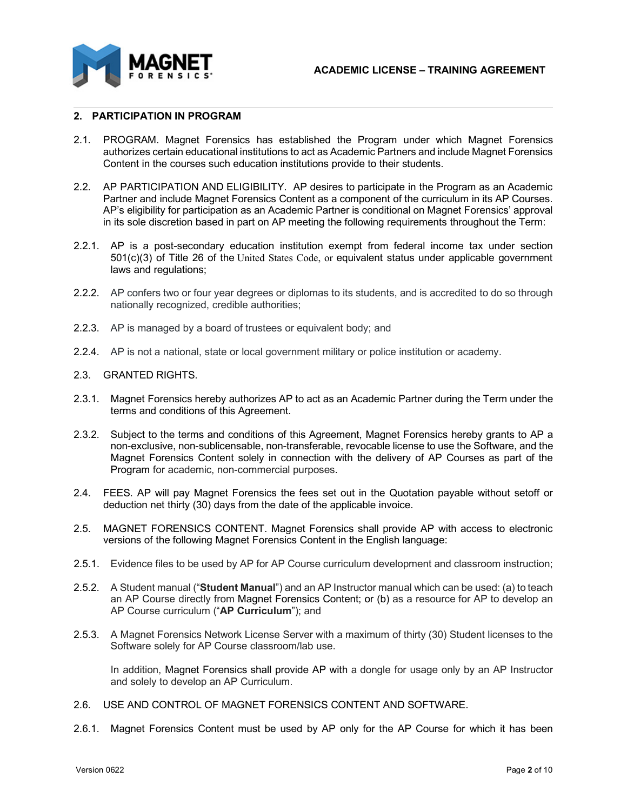

### **2. PARTICIPATION IN PROGRAM**

- 2.1. PROGRAM. Magnet Forensics has established the Program under which Magnet Forensics authorizes certain educational institutions to act as Academic Partners and include Magnet Forensics Content in the courses such education institutions provide to their students.
- 2.2. AP PARTICIPATION AND ELIGIBILITY. AP desires to participate in the Program as an Academic Partner and include Magnet Forensics Content as a component of the curriculum in its AP Courses. AP's eligibility for participation as an Academic Partner is conditional on Magnet Forensics' approval in its sole discretion based in part on AP meeting the following requirements throughout the Term:
- 2.2.1. AP is a post-secondary education institution exempt from federal income tax under section 501(c)(3) of Title 26 of the United States Code, or equivalent status under applicable government laws and regulations;
- 2.2.2. AP confers two or four year degrees or diplomas to its students, and is accredited to do so through nationally recognized, credible authorities;
- 2.2.3. AP is managed by a board of trustees or equivalent body; and
- 2.2.4. AP is not a national, state or local government military or police institution or academy.

#### 2.3. GRANTED RIGHTS.

- 2.3.1. Magnet Forensics hereby authorizes AP to act as an Academic Partner during the Term under the terms and conditions of this Agreement.
- 2.3.2. Subject to the terms and conditions of this Agreement, Magnet Forensics hereby grants to AP a non-exclusive, non-sublicensable, non-transferable, revocable license to use the Software, and the Magnet Forensics Content solely in connection with the delivery of AP Courses as part of the Program for academic, non-commercial purposes.
- 2.4. FEES. AP will pay Magnet Forensics the fees set out in the Quotation payable without setoff or deduction net thirty (30) days from the date of the applicable invoice.
- 2.5. MAGNET FORENSICS CONTENT. Magnet Forensics shall provide AP with access to electronic versions of the following Magnet Forensics Content in the English language:
- 2.5.1. Evidence files to be used by AP for AP Course curriculum development and classroom instruction;
- 2.5.2. A Student manual ("**Student Manual**") and an AP Instructor manual which can be used: (a) to teach an AP Course directly from Magnet Forensics Content; or (b) as a resource for AP to develop an AP Course curriculum ("**AP Curriculum**"); and
- 2.5.3. A Magnet Forensics Network License Server with a maximum of thirty (30) Student licenses to the Software solely for AP Course classroom/lab use.

In addition, Magnet Forensics shall provide AP with a dongle for usage only by an AP Instructor and solely to develop an AP Curriculum.

- 2.6. USE AND CONTROL OF MAGNET FORENSICS CONTENT AND SOFTWARE.
- 2.6.1. Magnet Forensics Content must be used by AP only for the AP Course for which it has been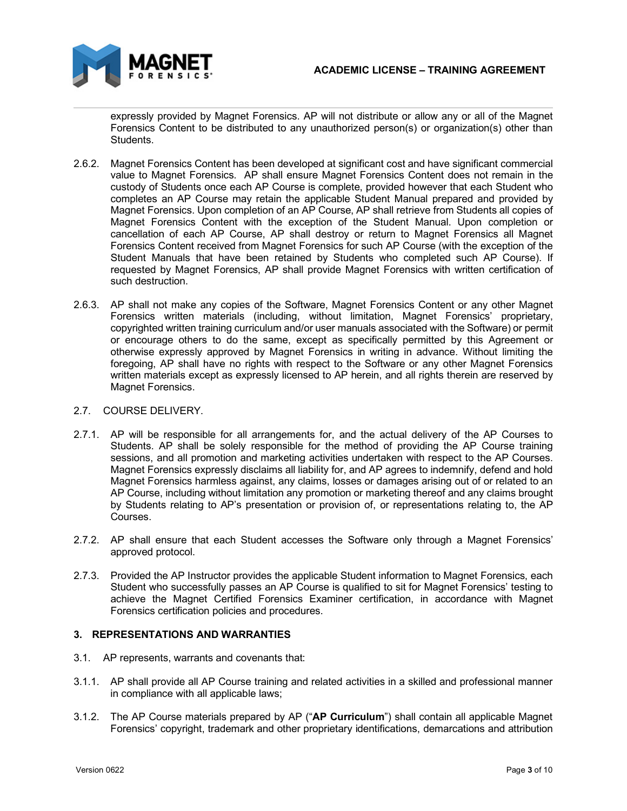

expressly provided by Magnet Forensics. AP will not distribute or allow any or all of the Magnet Forensics Content to be distributed to any unauthorized person(s) or organization(s) other than Students.

- 2.6.2. Magnet Forensics Content has been developed at significant cost and have significant commercial value to Magnet Forensics. AP shall ensure Magnet Forensics Content does not remain in the custody of Students once each AP Course is complete, provided however that each Student who completes an AP Course may retain the applicable Student Manual prepared and provided by Magnet Forensics. Upon completion of an AP Course, AP shall retrieve from Students all copies of Magnet Forensics Content with the exception of the Student Manual. Upon completion or cancellation of each AP Course, AP shall destroy or return to Magnet Forensics all Magnet Forensics Content received from Magnet Forensics for such AP Course (with the exception of the Student Manuals that have been retained by Students who completed such AP Course). If requested by Magnet Forensics, AP shall provide Magnet Forensics with written certification of such destruction.
- 2.6.3. AP shall not make any copies of the Software, Magnet Forensics Content or any other Magnet Forensics written materials (including, without limitation, Magnet Forensics' proprietary, copyrighted written training curriculum and/or user manuals associated with the Software) or permit or encourage others to do the same, except as specifically permitted by this Agreement or otherwise expressly approved by Magnet Forensics in writing in advance. Without limiting the foregoing, AP shall have no rights with respect to the Software or any other Magnet Forensics written materials except as expressly licensed to AP herein, and all rights therein are reserved by Magnet Forensics.

### 2.7. COURSE DELIVERY.

- 2.7.1. AP will be responsible for all arrangements for, and the actual delivery of the AP Courses to Students. AP shall be solely responsible for the method of providing the AP Course training sessions, and all promotion and marketing activities undertaken with respect to the AP Courses. Magnet Forensics expressly disclaims all liability for, and AP agrees to indemnify, defend and hold Magnet Forensics harmless against, any claims, losses or damages arising out of or related to an AP Course, including without limitation any promotion or marketing thereof and any claims brought by Students relating to AP's presentation or provision of, or representations relating to, the AP Courses.
- 2.7.2. AP shall ensure that each Student accesses the Software only through a Magnet Forensics' approved protocol.
- 2.7.3. Provided the AP Instructor provides the applicable Student information to Magnet Forensics, each Student who successfully passes an AP Course is qualified to sit for Magnet Forensics' testing to achieve the Magnet Certified Forensics Examiner certification, in accordance with Magnet Forensics certification policies and procedures.

### **3. REPRESENTATIONS AND WARRANTIES**

- 3.1. AP represents, warrants and covenants that:
- 3.1.1. AP shall provide all AP Course training and related activities in a skilled and professional manner in compliance with all applicable laws;
- 3.1.2. The AP Course materials prepared by AP ("**AP Curriculum**") shall contain all applicable Magnet Forensics' copyright, trademark and other proprietary identifications, demarcations and attribution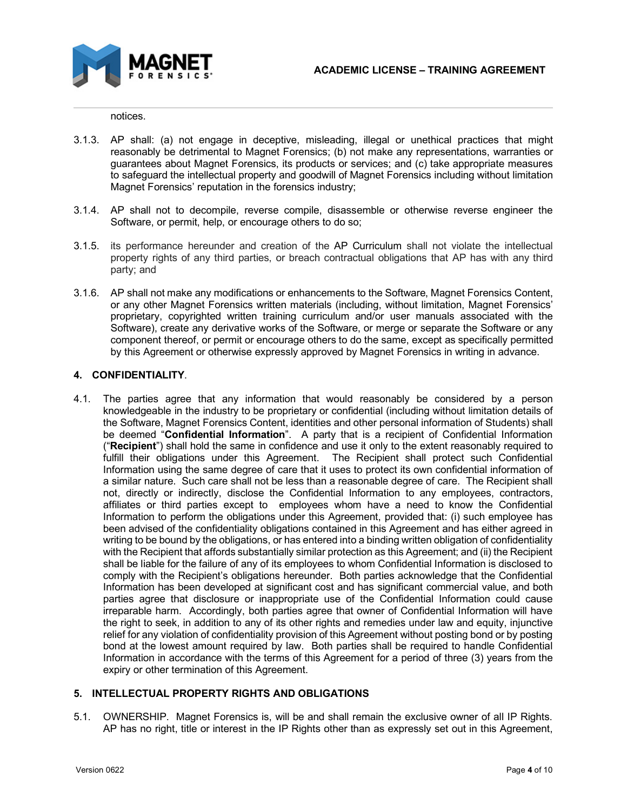

notices.

- 3.1.3. AP shall: (a) not engage in deceptive, misleading, illegal or unethical practices that might reasonably be detrimental to Magnet Forensics; (b) not make any representations, warranties or guarantees about Magnet Forensics, its products or services; and (c) take appropriate measures to safeguard the intellectual property and goodwill of Magnet Forensics including without limitation Magnet Forensics' reputation in the forensics industry;
- 3.1.4. AP shall not to decompile, reverse compile, disassemble or otherwise reverse engineer the Software, or permit, help, or encourage others to do so;
- 3.1.5. its performance hereunder and creation of the AP Curriculum shall not violate the intellectual property rights of any third parties, or breach contractual obligations that AP has with any third party; and
- 3.1.6. AP shall not make any modifications or enhancements to the Software, Magnet Forensics Content, or any other Magnet Forensics written materials (including, without limitation, Magnet Forensics' proprietary, copyrighted written training curriculum and/or user manuals associated with the Software), create any derivative works of the Software, or merge or separate the Software or any component thereof, or permit or encourage others to do the same, except as specifically permitted by this Agreement or otherwise expressly approved by Magnet Forensics in writing in advance.

## **4. CONFIDENTIALITY**.

4.1. The parties agree that any information that would reasonably be considered by a person knowledgeable in the industry to be proprietary or confidential (including without limitation details of the Software, Magnet Forensics Content, identities and other personal information of Students) shall be deemed "**Confidential Information**". A party that is a recipient of Confidential Information ("**Recipient**") shall hold the same in confidence and use it only to the extent reasonably required to fulfill their obligations under this Agreement. The Recipient shall protect such Confidential Information using the same degree of care that it uses to protect its own confidential information of a similar nature. Such care shall not be less than a reasonable degree of care. The Recipient shall not, directly or indirectly, disclose the Confidential Information to any employees, contractors, affiliates or third parties except to employees whom have a need to know the Confidential Information to perform the obligations under this Agreement, provided that: (i) such employee has been advised of the confidentiality obligations contained in this Agreement and has either agreed in writing to be bound by the obligations, or has entered into a binding written obligation of confidentiality with the Recipient that affords substantially similar protection as this Agreement; and (ii) the Recipient shall be liable for the failure of any of its employees to whom Confidential Information is disclosed to comply with the Recipient's obligations hereunder. Both parties acknowledge that the Confidential Information has been developed at significant cost and has significant commercial value, and both parties agree that disclosure or inappropriate use of the Confidential Information could cause irreparable harm. Accordingly, both parties agree that owner of Confidential Information will have the right to seek, in addition to any of its other rights and remedies under law and equity, injunctive relief for any violation of confidentiality provision of this Agreement without posting bond or by posting bond at the lowest amount required by law. Both parties shall be required to handle Confidential Information in accordance with the terms of this Agreement for a period of three (3) years from the expiry or other termination of this Agreement.

## **5. INTELLECTUAL PROPERTY RIGHTS AND OBLIGATIONS**

5.1. OWNERSHIP. Magnet Forensics is, will be and shall remain the exclusive owner of all IP Rights. AP has no right, title or interest in the IP Rights other than as expressly set out in this Agreement,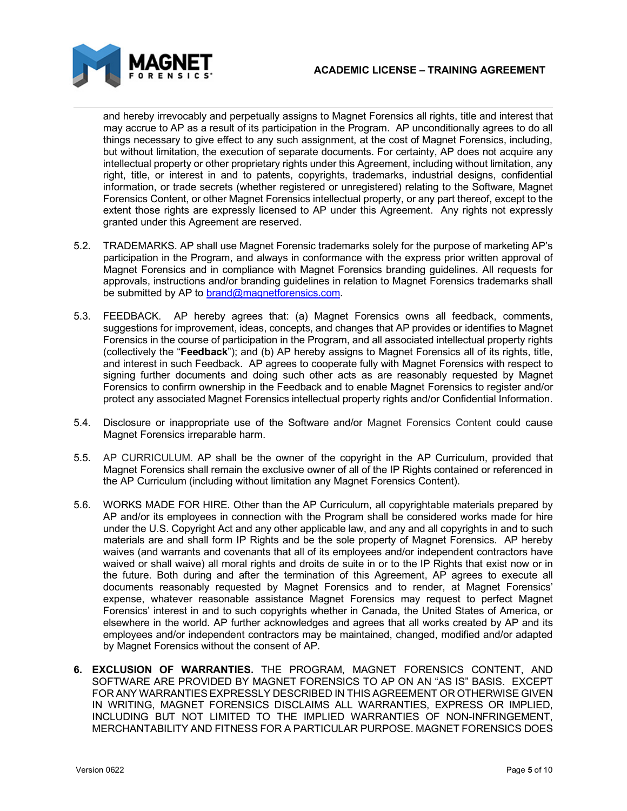

and hereby irrevocably and perpetually assigns to Magnet Forensics all rights, title and interest that may accrue to AP as a result of its participation in the Program. AP unconditionally agrees to do all things necessary to give effect to any such assignment, at the cost of Magnet Forensics, including, but without limitation, the execution of separate documents. For certainty, AP does not acquire any intellectual property or other proprietary rights under this Agreement, including without limitation, any right, title, or interest in and to patents, copyrights, trademarks, industrial designs, confidential information, or trade secrets (whether registered or unregistered) relating to the Software, Magnet Forensics Content, or other Magnet Forensics intellectual property, or any part thereof, except to the extent those rights are expressly licensed to AP under this Agreement. Any rights not expressly granted under this Agreement are reserved.

- 5.2. TRADEMARKS. AP shall use Magnet Forensic trademarks solely for the purpose of marketing AP's participation in the Program, and always in conformance with the express prior written approval of Magnet Forensics and in compliance with Magnet Forensics branding guidelines. All requests for approvals, instructions and/or branding guidelines in relation to Magnet Forensics trademarks shall be submitted by AP to **brand@magnetforensics.com**.
- 5.3. FEEDBACK. AP hereby agrees that: (a) Magnet Forensics owns all feedback, comments, suggestions for improvement, ideas, concepts, and changes that AP provides or identifies to Magnet Forensics in the course of participation in the Program, and all associated intellectual property rights (collectively the "**Feedback**"); and (b) AP hereby assigns to Magnet Forensics all of its rights, title, and interest in such Feedback. AP agrees to cooperate fully with Magnet Forensics with respect to signing further documents and doing such other acts as are reasonably requested by Magnet Forensics to confirm ownership in the Feedback and to enable Magnet Forensics to register and/or protect any associated Magnet Forensics intellectual property rights and/or Confidential Information.
- 5.4. Disclosure or inappropriate use of the Software and/or Magnet Forensics Content could cause Magnet Forensics irreparable harm.
- 5.5. AP CURRICULUM. AP shall be the owner of the copyright in the AP Curriculum, provided that Magnet Forensics shall remain the exclusive owner of all of the IP Rights contained or referenced in the AP Curriculum (including without limitation any Magnet Forensics Content).
- 5.6. WORKS MADE FOR HIRE. Other than the AP Curriculum, all copyrightable materials prepared by AP and/or its employees in connection with the Program shall be considered works made for hire under the U.S. Copyright Act and any other applicable law, and any and all copyrights in and to such materials are and shall form IP Rights and be the sole property of Magnet Forensics. AP hereby waives (and warrants and covenants that all of its employees and/or independent contractors have waived or shall waive) all moral rights and droits de suite in or to the IP Rights that exist now or in the future. Both during and after the termination of this Agreement, AP agrees to execute all documents reasonably requested by Magnet Forensics and to render, at Magnet Forensics' expense, whatever reasonable assistance Magnet Forensics may request to perfect Magnet Forensics' interest in and to such copyrights whether in Canada, the United States of America, or elsewhere in the world. AP further acknowledges and agrees that all works created by AP and its employees and/or independent contractors may be maintained, changed, modified and/or adapted by Magnet Forensics without the consent of AP.
- **6. EXCLUSION OF WARRANTIES.** THE PROGRAM, MAGNET FORENSICS CONTENT, AND SOFTWARE ARE PROVIDED BY MAGNET FORENSICS TO AP ON AN "AS IS" BASIS. EXCEPT FOR ANY WARRANTIES EXPRESSLY DESCRIBED IN THIS AGREEMENT OR OTHERWISE GIVEN IN WRITING, MAGNET FORENSICS DISCLAIMS ALL WARRANTIES, EXPRESS OR IMPLIED, INCLUDING BUT NOT LIMITED TO THE IMPLIED WARRANTIES OF NON-INFRINGEMENT, MERCHANTABILITY AND FITNESS FOR A PARTICULAR PURPOSE. MAGNET FORENSICS DOES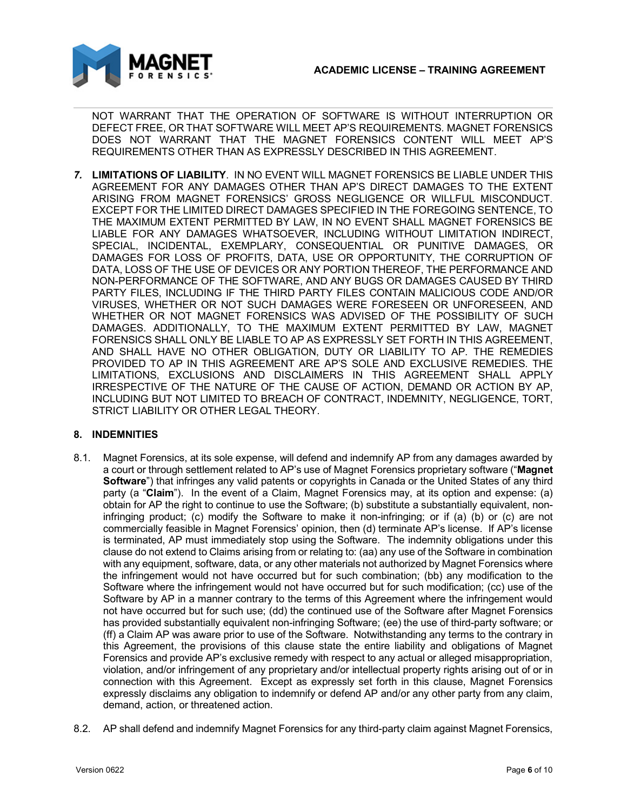

NOT WARRANT THAT THE OPERATION OF SOFTWARE IS WITHOUT INTERRUPTION OR DEFECT FREE, OR THAT SOFTWARE WILL MEET AP'S REQUIREMENTS. MAGNET FORENSICS DOES NOT WARRANT THAT THE MAGNET FORENSICS CONTENT WILL MEET AP'S REQUIREMENTS OTHER THAN AS EXPRESSLY DESCRIBED IN THIS AGREEMENT.

*7.* **LIMITATIONS OF LIABILITY**. IN NO EVENT WILL MAGNET FORENSICS BE LIABLE UNDER THIS AGREEMENT FOR ANY DAMAGES OTHER THAN AP'S DIRECT DAMAGES TO THE EXTENT ARISING FROM MAGNET FORENSICS' GROSS NEGLIGENCE OR WILLFUL MISCONDUCT. EXCEPT FOR THE LIMITED DIRECT DAMAGES SPECIFIED IN THE FOREGOING SENTENCE, TO THE MAXIMUM EXTENT PERMITTED BY LAW, IN NO EVENT SHALL MAGNET FORENSICS BE LIABLE FOR ANY DAMAGES WHATSOEVER, INCLUDING WITHOUT LIMITATION INDIRECT, SPECIAL, INCIDENTAL, EXEMPLARY, CONSEQUENTIAL OR PUNITIVE DAMAGES, OR DAMAGES FOR LOSS OF PROFITS, DATA, USE OR OPPORTUNITY, THE CORRUPTION OF DATA, LOSS OF THE USE OF DEVICES OR ANY PORTION THEREOF, THE PERFORMANCE AND NON-PERFORMANCE OF THE SOFTWARE, AND ANY BUGS OR DAMAGES CAUSED BY THIRD PARTY FILES, INCLUDING IF THE THIRD PARTY FILES CONTAIN MALICIOUS CODE AND/OR VIRUSES, WHETHER OR NOT SUCH DAMAGES WERE FORESEEN OR UNFORESEEN, AND WHETHER OR NOT MAGNET FORENSICS WAS ADVISED OF THE POSSIBILITY OF SUCH DAMAGES. ADDITIONALLY, TO THE MAXIMUM EXTENT PERMITTED BY LAW, MAGNET FORENSICS SHALL ONLY BE LIABLE TO AP AS EXPRESSLY SET FORTH IN THIS AGREEMENT, AND SHALL HAVE NO OTHER OBLIGATION, DUTY OR LIABILITY TO AP. THE REMEDIES PROVIDED TO AP IN THIS AGREEMENT ARE AP'S SOLE AND EXCLUSIVE REMEDIES. THE LIMITATIONS, EXCLUSIONS AND DISCLAIMERS IN THIS AGREEMENT SHALL APPLY IRRESPECTIVE OF THE NATURE OF THE CAUSE OF ACTION, DEMAND OR ACTION BY AP, INCLUDING BUT NOT LIMITED TO BREACH OF CONTRACT, INDEMNITY, NEGLIGENCE, TORT, STRICT LIABILITY OR OTHER LEGAL THEORY.

# **8. INDEMNITIES**

- 8.1. Magnet Forensics, at its sole expense, will defend and indemnify AP from any damages awarded by a court or through settlement related to AP's use of Magnet Forensics proprietary software ("**Magnet Software**") that infringes any valid patents or copyrights in Canada or the United States of any third party (a "**Claim**"). In the event of a Claim, Magnet Forensics may, at its option and expense: (a) obtain for AP the right to continue to use the Software; (b) substitute a substantially equivalent, noninfringing product; (c) modify the Software to make it non-infringing; or if (a) (b) or (c) are not commercially feasible in Magnet Forensics' opinion, then (d) terminate AP's license. If AP's license is terminated, AP must immediately stop using the Software. The indemnity obligations under this clause do not extend to Claims arising from or relating to: (aa) any use of the Software in combination with any equipment, software, data, or any other materials not authorized by Magnet Forensics where the infringement would not have occurred but for such combination; (bb) any modification to the Software where the infringement would not have occurred but for such modification; (cc) use of the Software by AP in a manner contrary to the terms of this Agreement where the infringement would not have occurred but for such use; (dd) the continued use of the Software after Magnet Forensics has provided substantially equivalent non-infringing Software; (ee) the use of third-party software; or (ff) a Claim AP was aware prior to use of the Software. Notwithstanding any terms to the contrary in this Agreement, the provisions of this clause state the entire liability and obligations of Magnet Forensics and provide AP's exclusive remedy with respect to any actual or alleged misappropriation, violation, and/or infringement of any proprietary and/or intellectual property rights arising out of or in connection with this Agreement. Except as expressly set forth in this clause, Magnet Forensics expressly disclaims any obligation to indemnify or defend AP and/or any other party from any claim, demand, action, or threatened action.
- 8.2. AP shall defend and indemnify Magnet Forensics for any third-party claim against Magnet Forensics,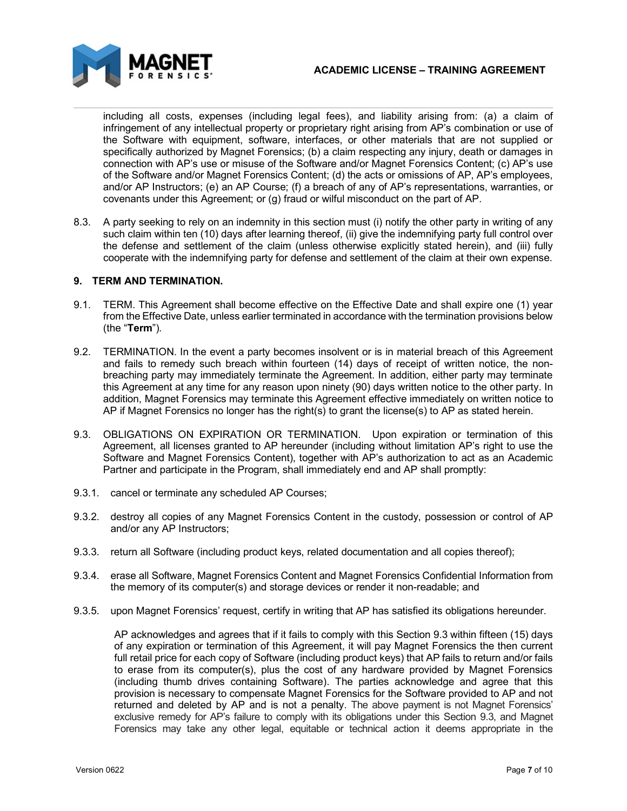

including all costs, expenses (including legal fees), and liability arising from: (a) a claim of infringement of any intellectual property or proprietary right arising from AP's combination or use of the Software with equipment, software, interfaces, or other materials that are not supplied or specifically authorized by Magnet Forensics; (b) a claim respecting any injury, death or damages in connection with AP's use or misuse of the Software and/or Magnet Forensics Content; (c) AP's use of the Software and/or Magnet Forensics Content; (d) the acts or omissions of AP, AP's employees, and/or AP Instructors; (e) an AP Course; (f) a breach of any of AP's representations, warranties, or covenants under this Agreement; or (g) fraud or wilful misconduct on the part of AP.

8.3. A party seeking to rely on an indemnity in this section must (i) notify the other party in writing of any such claim within ten (10) days after learning thereof, (ii) give the indemnifying party full control over the defense and settlement of the claim (unless otherwise explicitly stated herein), and (iii) fully cooperate with the indemnifying party for defense and settlement of the claim at their own expense.

## **9. TERM AND TERMINATION.**

- 9.1. TERM. This Agreement shall become effective on the Effective Date and shall expire one (1) year from the Effective Date, unless earlier terminated in accordance with the termination provisions below (the "**Term**").
- 9.2. TERMINATION. In the event a party becomes insolvent or is in material breach of this Agreement and fails to remedy such breach within fourteen (14) days of receipt of written notice, the nonbreaching party may immediately terminate the Agreement. In addition, either party may terminate this Agreement at any time for any reason upon ninety (90) days written notice to the other party. In addition, Magnet Forensics may terminate this Agreement effective immediately on written notice to AP if Magnet Forensics no longer has the right(s) to grant the license(s) to AP as stated herein.
- 9.3. OBLIGATIONS ON EXPIRATION OR TERMINATION. Upon expiration or termination of this Agreement, all licenses granted to AP hereunder (including without limitation AP's right to use the Software and Magnet Forensics Content), together with AP's authorization to act as an Academic Partner and participate in the Program, shall immediately end and AP shall promptly:
- 9.3.1. cancel or terminate any scheduled AP Courses;
- 9.3.2. destroy all copies of any Magnet Forensics Content in the custody, possession or control of AP and/or any AP Instructors;
- 9.3.3. return all Software (including product keys, related documentation and all copies thereof);
- 9.3.4. erase all Software, Magnet Forensics Content and Magnet Forensics Confidential Information from the memory of its computer(s) and storage devices or render it non-readable; and
- 9.3.5. upon Magnet Forensics' request, certify in writing that AP has satisfied its obligations hereunder.

AP acknowledges and agrees that if it fails to comply with this Section 9.3 within fifteen (15) days of any expiration or termination of this Agreement, it will pay Magnet Forensics the then current full retail price for each copy of Software (including product keys) that AP fails to return and/or fails to erase from its computer(s), plus the cost of any hardware provided by Magnet Forensics (including thumb drives containing Software). The parties acknowledge and agree that this provision is necessary to compensate Magnet Forensics for the Software provided to AP and not returned and deleted by AP and is not a penalty. The above payment is not Magnet Forensics' exclusive remedy for AP's failure to comply with its obligations under this Section 9.3, and Magnet Forensics may take any other legal, equitable or technical action it deems appropriate in the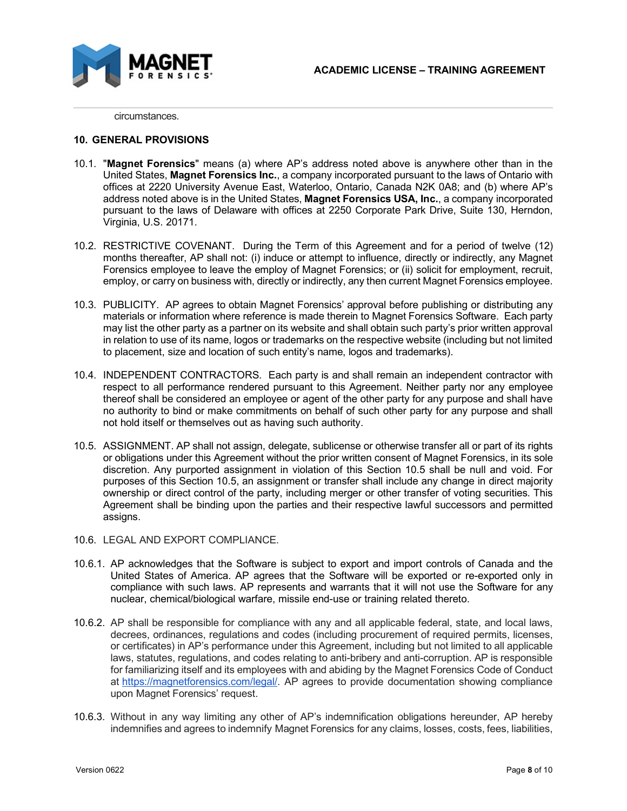

circumstances.

#### **10. GENERAL PROVISIONS**

- 10.1. "**Magnet Forensics**" means (a) where AP's address noted above is anywhere other than in the United States, **Magnet Forensics Inc.**, a company incorporated pursuant to the laws of Ontario with offices at 2220 University Avenue East, Waterloo, Ontario, Canada N2K 0A8; and (b) where AP's address noted above is in the United States, **Magnet Forensics USA, Inc.**, a company incorporated pursuant to the laws of Delaware with offices at 2250 Corporate Park Drive, Suite 130, Herndon, Virginia, U.S. 20171.
- 10.2. RESTRICTIVE COVENANT. During the Term of this Agreement and for a period of twelve (12) months thereafter, AP shall not: (i) induce or attempt to influence, directly or indirectly, any Magnet Forensics employee to leave the employ of Magnet Forensics; or (ii) solicit for employment, recruit, employ, or carry on business with, directly or indirectly, any then current Magnet Forensics employee.
- 10.3. PUBLICITY. AP agrees to obtain Magnet Forensics' approval before publishing or distributing any materials or information where reference is made therein to Magnet Forensics Software. Each party may list the other party as a partner on its website and shall obtain such party's prior written approval in relation to use of its name, logos or trademarks on the respective website (including but not limited to placement, size and location of such entity's name, logos and trademarks).
- 10.4. INDEPENDENT CONTRACTORS. Each party is and shall remain an independent contractor with respect to all performance rendered pursuant to this Agreement. Neither party nor any employee thereof shall be considered an employee or agent of the other party for any purpose and shall have no authority to bind or make commitments on behalf of such other party for any purpose and shall not hold itself or themselves out as having such authority.
- 10.5. ASSIGNMENT. AP shall not assign, delegate, sublicense or otherwise transfer all or part of its rights or obligations under this Agreement without the prior written consent of Magnet Forensics, in its sole discretion. Any purported assignment in violation of this Section 10.5 shall be null and void. For purposes of this Section 10.5, an assignment or transfer shall include any change in direct majority ownership or direct control of the party, including merger or other transfer of voting securities. This Agreement shall be binding upon the parties and their respective lawful successors and permitted assigns.
- 10.6. LEGAL AND EXPORT COMPLIANCE.
- 10.6.1. AP acknowledges that the Software is subject to export and import controls of Canada and the United States of America. AP agrees that the Software will be exported or re-exported only in compliance with such laws. AP represents and warrants that it will not use the Software for any nuclear, chemical/biological warfare, missile end-use or training related thereto.
- 10.6.2. AP shall be responsible for compliance with any and all applicable federal, state, and local laws, decrees, ordinances, regulations and codes (including procurement of required permits, licenses, or certificates) in AP's performance under this Agreement, including but not limited to all applicable laws, statutes, regulations, and codes relating to anti-bribery and anti-corruption. AP is responsible for familiarizing itself and its employees with and abiding by the Magnet Forensics Code of Conduct at [https://magnetforensics.com/legal/.](https://magnetforensics.com/legal/) AP agrees to provide documentation showing compliance upon Magnet Forensics' request.
- 10.6.3. Without in any way limiting any other of AP's indemnification obligations hereunder, AP hereby indemnifies and agrees to indemnify Magnet Forensics for any claims, losses, costs, fees, liabilities,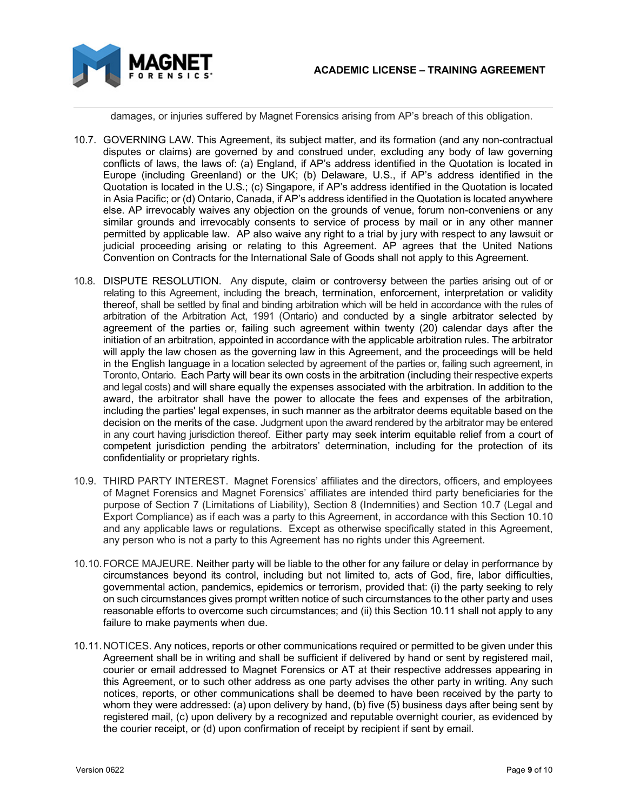

damages, or injuries suffered by Magnet Forensics arising from AP's breach of this obligation.

- 10.7. GOVERNING LAW. This Agreement, its subject matter, and its formation (and any non-contractual disputes or claims) are governed by and construed under, excluding any body of law governing conflicts of laws, the laws of: (a) England, if AP's address identified in the Quotation is located in Europe (including Greenland) or the UK; (b) Delaware, U.S., if AP's address identified in the Quotation is located in the U.S.; (c) Singapore, if AP's address identified in the Quotation is located in Asia Pacific; or (d) Ontario, Canada, if AP's address identified in the Quotation is located anywhere else. AP irrevocably waives any objection on the grounds of venue, forum non-conveniens or any similar grounds and irrevocably consents to service of process by mail or in any other manner permitted by applicable law. AP also waive any right to a trial by jury with respect to any lawsuit or judicial proceeding arising or relating to this Agreement. AP agrees that the United Nations Convention on Contracts for the International Sale of Goods shall not apply to this Agreement.
- 10.8. DISPUTE RESOLUTION. Any dispute, claim or controversy between the parties arising out of or relating to this Agreement, including the breach, termination, enforcement, interpretation or validity thereof, shall be settled by final and binding arbitration which will be held in accordance with the rules of arbitration of the Arbitration Act, 1991 (Ontario) and conducted by a single arbitrator selected by agreement of the parties or, failing such agreement within twenty (20) calendar days after the initiation of an arbitration, appointed in accordance with the applicable arbitration rules. The arbitrator will apply the law chosen as the governing law in this Agreement, and the proceedings will be held in the English language in a location selected by agreement of the parties or, failing such agreement, in Toronto, Ontario. Each Party will bear its own costs in the arbitration (including their respective experts and legal costs) and will share equally the expenses associated with the arbitration. In addition to the award, the arbitrator shall have the power to allocate the fees and expenses of the arbitration, including the parties' legal expenses, in such manner as the arbitrator deems equitable based on the decision on the merits of the case. Judgment upon the award rendered by the arbitrator may be entered in any court having jurisdiction thereof. Either party may seek interim equitable relief from a court of competent jurisdiction pending the arbitrators' determination, including for the protection of its confidentiality or proprietary rights.
- 10.9. THIRD PARTY INTEREST. Magnet Forensics' affiliates and the directors, officers, and employees of Magnet Forensics and Magnet Forensics' affiliates are intended third party beneficiaries for the purpose of Section 7 (Limitations of Liability), Section 8 (Indemnities) and Section 10.7 (Legal and Export Compliance) as if each was a party to this Agreement, in accordance with this Section 10.10 and any applicable laws or regulations. Except as otherwise specifically stated in this Agreement, any person who is not a party to this Agreement has no rights under this Agreement.
- 10.10.FORCE MAJEURE. Neither party will be liable to the other for any failure or delay in performance by circumstances beyond its control, including but not limited to, acts of God, fire, labor difficulties, governmental action, pandemics, epidemics or terrorism, provided that: (i) the party seeking to rely on such circumstances gives prompt written notice of such circumstances to the other party and uses reasonable efforts to overcome such circumstances; and (ii) this Section 10.11 shall not apply to any failure to make payments when due.
- 10.11.NOTICES. Any notices, reports or other communications required or permitted to be given under this Agreement shall be in writing and shall be sufficient if delivered by hand or sent by registered mail, courier or email addressed to Magnet Forensics or AT at their respective addresses appearing in this Agreement, or to such other address as one party advises the other party in writing. Any such notices, reports, or other communications shall be deemed to have been received by the party to whom they were addressed: (a) upon delivery by hand, (b) five (5) business days after being sent by registered mail, (c) upon delivery by a recognized and reputable overnight courier, as evidenced by the courier receipt, or (d) upon confirmation of receipt by recipient if sent by email.